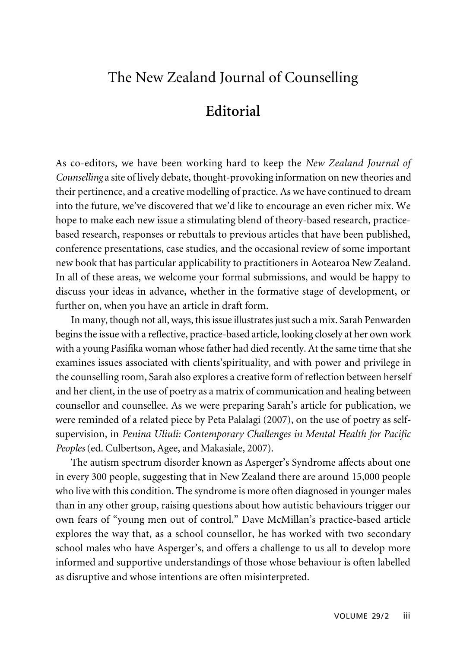## The New Zealand Journal of Counselling

## **Editorial**

As co-editors, we have been working hard to keep the *New Zealand Journal of Counselling* a site of lively debate, thought-provoking information on new theories and their pertinence, and a creative modelling of practice. As we have continued to dream into the future, we've discovered that we'd like to encourage an even richer mix. We hope to make each new issue a stimulating blend of theory-based research, practicebased research, responses or rebuttals to previous articles that have been published, conference presentations, case studies, and the occasional review of some important new book that has particular applicability to practitioners in Aotearoa New Zealand. In all of these areas, we welcome your formal submissions, and would be happy to discuss your ideas in advance, whether in the formative stage of development, or further on, when you have an article in draft form.

In many, though not all, ways, this issue illustrates just such a mix. Sarah Penwarden begins the issue with a reflective, practice-based article, looking closely at her own work with a young Pasifika woman whose father had died recently. At the same time that she examines issues associated with clients'spirituality, and with power and privilege in the counselling room, Sarah also explores a creative form of reflection between herself and her client, in the use of poetry as a matrix of communication and healing between counsellor and counsellee. As we were preparing Sarah's article for publication, we were reminded of a related piece by Peta Palalagi (2007), on the use of poetry as selfsupervision, in *Penina Uliuli: Contemporary Challenges in Mental Health for Pacific Peoples* (ed. Culbertson, Agee, and Makasiale, 2007).

The autism spectrum disorder known as Asperger's Syndrome affects about one in every 300 people, suggesting that in New Zealand there are around 15,000 people who live with this condition. The syndrome is more often diagnosed in younger males than in any other group, raising questions about how autistic behaviours trigger our own fears of "young men out of control." Dave McMillan's practice-based article explores the way that, as a school counsellor, he has worked with two secondary school males who have Asperger's, and offers a challenge to us all to develop more informed and supportive understandings of those whose behaviour is often labelled as disruptive and whose intentions are often misinterpreted.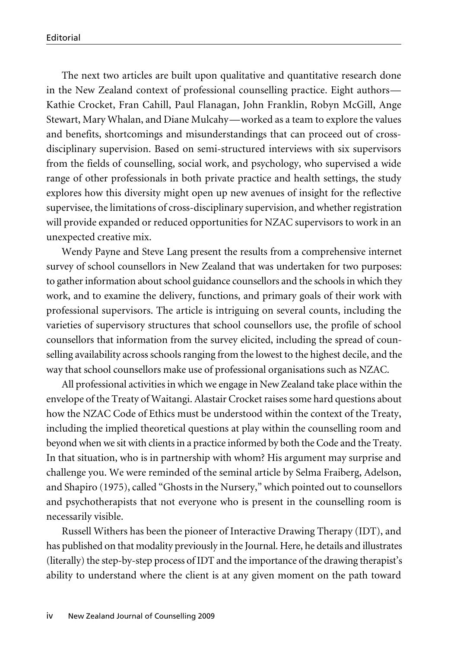The next two articles are built upon qualitative and quantitative research done in the New Zealand context of professional counselling practice. Eight authors— Kathie Crocket, Fran Cahill, Paul Flanagan, John Franklin, Robyn McGill, Ange Stewart, Mary Whalan, and Diane Mulcahy—worked as a team to explore the values and benefits, shortcomings and misunderstandings that can proceed out of crossdisciplinary supervision. Based on semi-structured interviews with six supervisors from the fields of counselling, social work, and psychology, who supervised a wide range of other professionals in both private practice and health settings, the study explores how this diversity might open up new avenues of insight for the reflective supervisee, the limitations of cross-disciplinary supervision, and whether registration will provide expanded or reduced opportunities for NZAC supervisors to work in an unexpected creative mix.

Wendy Payne and Steve Lang present the results from a comprehensive internet survey of school counsellors in New Zealand that was undertaken for two purposes: to gather information about school guidance counsellors and the schools in which they work, and to examine the delivery, functions, and primary goals of their work with professional supervisors. The article is intriguing on several counts, including the varieties of supervisory structures that school counsellors use, the profile of school counsellors that information from the survey elicited, including the spread of counselling availability across schools ranging from the lowest to the highest decile, and the way that school counsellors make use of professional organisations such as NZAC.

All professional activities in which we engage in New Zealand take place within the envelope of the Treaty of Waitangi. Alastair Crocket raises some hard questions about how the NZAC Code of Ethics must be understood within the context of the Treaty, including the implied theoretical questions at play within the counselling room and beyond when we sit with clients in a practice informed by both the Code and the Treaty. In that situation, who is in partnership with whom? His argument may surprise and challenge you. We were reminded of the seminal article by Selma Fraiberg, Adelson, and Shapiro (1975), called "Ghosts in the Nursery," which pointed out to counsellors and psychotherapists that not everyone who is present in the counselling room is necessarily visible.

Russell Withers has been the pioneer of Interactive Drawing Therapy (IDT), and has published on that modality previously in the Journal. Here, he details and illustrates (literally) the step-by-step process of IDT and the importance of the drawing therapist's ability to understand where the client is at any given moment on the path toward